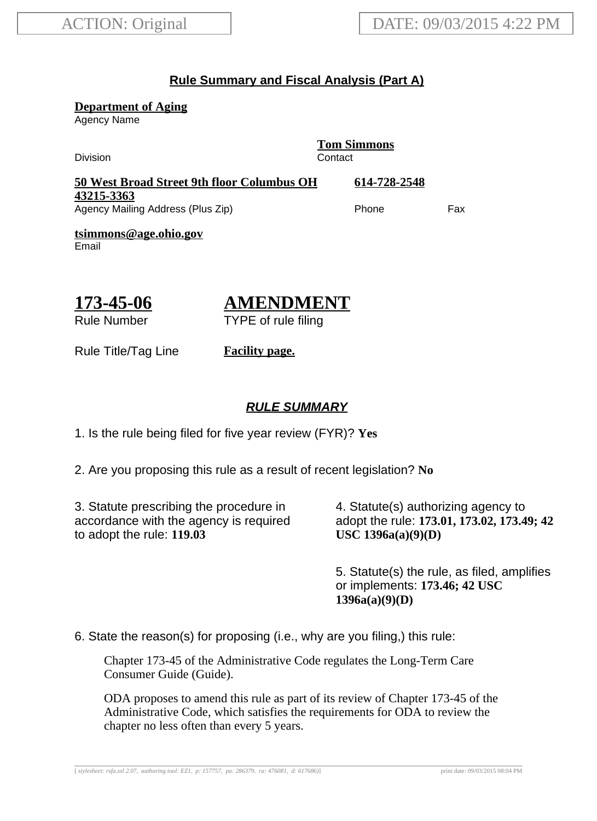### **Rule Summary and Fiscal Analysis (Part A)**

**Department of Aging**

Agency Name

Division Contact

**Tom Simmons**

| 50 West Broad Street 9th floor Columbus OH | 614-728-2548 |     |
|--------------------------------------------|--------------|-----|
| 43215-3363                                 |              |     |
| Agency Mailing Address (Plus Zip)          | Phone        | Fax |

**tsimmons@age.ohio.gov** Email

$$
\frac{173-45-06}{\text{Rule Number}}
$$

# **AMENDMENT**

TYPE of rule filing

Rule Title/Tag Line **Facility page.**

### **RULE SUMMARY**

1. Is the rule being filed for five year review (FYR)? **Yes**

2. Are you proposing this rule as a result of recent legislation? **No**

3. Statute prescribing the procedure in accordance with the agency is required to adopt the rule: **119.03**

4. Statute(s) authorizing agency to adopt the rule: **173.01, 173.02, 173.49; 42 USC 1396a(a)(9)(D)**

5. Statute(s) the rule, as filed, amplifies or implements: **173.46; 42 USC 1396a(a)(9)(D)**

6. State the reason(s) for proposing (i.e., why are you filing,) this rule:

Chapter 173-45 of the Administrative Code regulates the Long-Term Care Consumer Guide (Guide).

ODA proposes to amend this rule as part of its review of Chapter 173-45 of the Administrative Code, which satisfies the requirements for ODA to review the chapter no less often than every 5 years.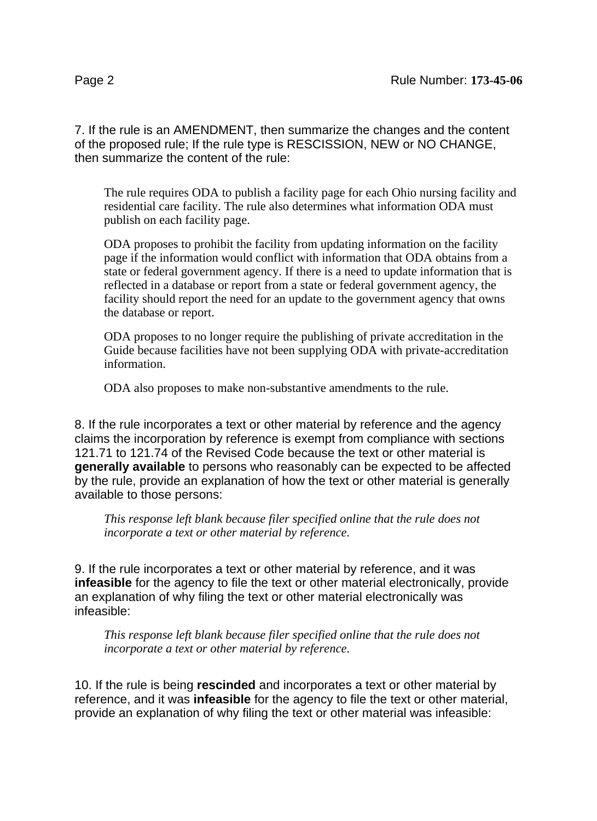7. If the rule is an AMENDMENT, then summarize the changes and the content of the proposed rule; If the rule type is RESCISSION, NEW or NO CHANGE, then summarize the content of the rule:

The rule requires ODA to publish a facility page for each Ohio nursing facility and residential care facility. The rule also determines what information ODA must publish on each facility page.

ODA proposes to prohibit the facility from updating information on the facility page if the information would conflict with information that ODA obtains from a state or federal government agency. If there is a need to update information that is reflected in a database or report from a state or federal government agency, the facility should report the need for an update to the government agency that owns the database or report.

ODA proposes to no longer require the publishing of private accreditation in the Guide because facilities have not been supplying ODA with private-accreditation information.

ODA also proposes to make non-substantive amendments to the rule.

8. If the rule incorporates a text or other material by reference and the agency claims the incorporation by reference is exempt from compliance with sections 121.71 to 121.74 of the Revised Code because the text or other material is **generally available** to persons who reasonably can be expected to be affected by the rule, provide an explanation of how the text or other material is generally available to those persons:

*This response left blank because filer specified online that the rule does not incorporate a text or other material by reference.*

9. If the rule incorporates a text or other material by reference, and it was **infeasible** for the agency to file the text or other material electronically, provide an explanation of why filing the text or other material electronically was infeasible:

*This response left blank because filer specified online that the rule does not incorporate a text or other material by reference.*

10. If the rule is being **rescinded** and incorporates a text or other material by reference, and it was **infeasible** for the agency to file the text or other material, provide an explanation of why filing the text or other material was infeasible: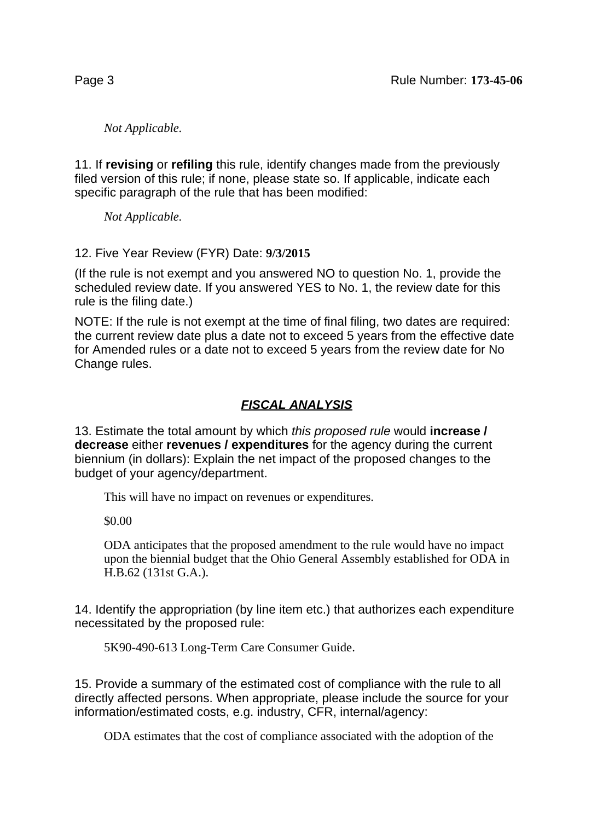*Not Applicable.*

11. If **revising** or **refiling** this rule, identify changes made from the previously filed version of this rule; if none, please state so. If applicable, indicate each specific paragraph of the rule that has been modified:

*Not Applicable.*

12. Five Year Review (FYR) Date: **9/3/2015**

(If the rule is not exempt and you answered NO to question No. 1, provide the scheduled review date. If you answered YES to No. 1, the review date for this rule is the filing date.)

NOTE: If the rule is not exempt at the time of final filing, two dates are required: the current review date plus a date not to exceed 5 years from the effective date for Amended rules or a date not to exceed 5 years from the review date for No Change rules.

## **FISCAL ANALYSIS**

13. Estimate the total amount by which this proposed rule would **increase / decrease** either **revenues / expenditures** for the agency during the current biennium (in dollars): Explain the net impact of the proposed changes to the budget of your agency/department.

This will have no impact on revenues or expenditures.

\$0.00

ODA anticipates that the proposed amendment to the rule would have no impact upon the biennial budget that the Ohio General Assembly established for ODA in H.B.62 (131st G.A.).

14. Identify the appropriation (by line item etc.) that authorizes each expenditure necessitated by the proposed rule:

5K90-490-613 Long-Term Care Consumer Guide.

15. Provide a summary of the estimated cost of compliance with the rule to all directly affected persons. When appropriate, please include the source for your information/estimated costs, e.g. industry, CFR, internal/agency:

ODA estimates that the cost of compliance associated with the adoption of the